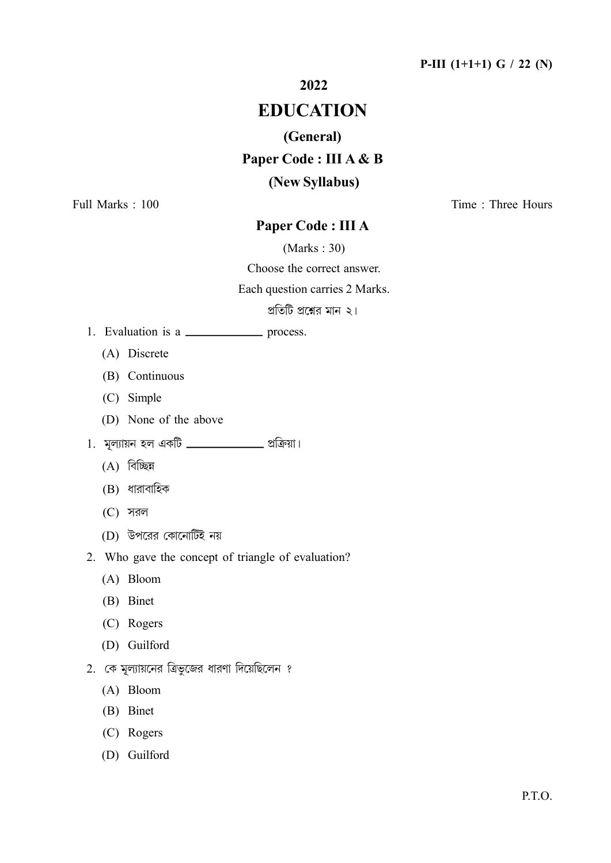### P-III  $(1+1+1)$  G / 22 (N)

### 2022

## **EDUCATION**

### (General)

# Paper Code : III A & B

### (New Syllabus)

Full Marks: 100

Time: Three Hours

### Paper Code: III A

 $(Marks: 30)$ 

Choose the correct answer.

Each question carries 2 Marks.

প্রতিটি প্রশ্নের মান ২।

- - (A) Discrete
	- (B) Continuous
	- (C) Simple
	- (D) None of the above
- 1. মূল্যায়ন হল একটি **\_\_\_\_\_\_\_\_\_\_\_\_\_\_** প্রক্রিয়া।
	- $(A)$  বিচ্ছিন্ন
	- $(B)$  ধারাবাহিক
	- $(C)$  সরল
	- (D) উপরের কোনোটিই নয়

2. Who gave the concept of triangle of evaluation?

- $(A)$  Bloom
- (B) Binet
- (C) Rogers
- (D) Guilford
- 2. কে মূল্যায়নের ত্রিভুজের ধারণা দিয়েছিলেন ?
	- (A) Bloom
	- (B) Binet
	- (C) Rogers
	- (D) Guilford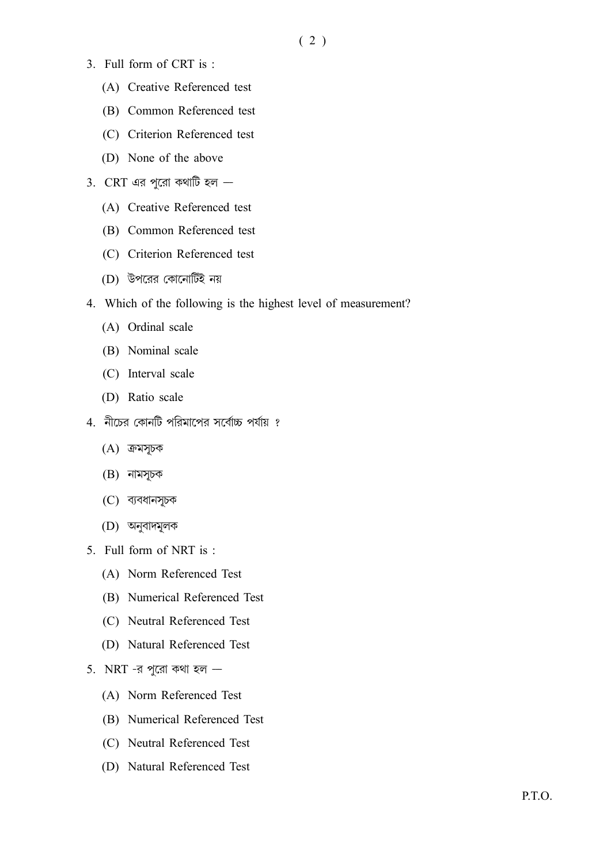- 3. Full form of CRT is:
	- (A) Creative Referenced test
	- (B) Common Referenced test
	- (C) Criterion Referenced test
	- (D) None of the above
- 3. CRT এর পুরো কথাটি হল  $-$ 
	- (A) Creative Referenced test
	- (B) Common Referenced test
	- (C) Criterion Referenced test
	- (D) উপরের কোনোটিই নয়
- 4. Which of the following is the highest level of measurement?
	- (A) Ordinal scale
	- (B) Nominal scale
	- (C) Interval scale
	- (D) Ratio scale
- 4. নীচের কোনটি পরিমাপের সর্বোচ্চ পর্যায় ?
	- $(A)$  ক্রমসূচক
	- $(B)$  নামসূচক
	- (C) ব্যবধানসূচক
	- (D) অনুবাদমূলক
- 5. Full form of NRT is :
	- (A) Norm Referenced Test
	- (B) Numerical Referenced Test
	- (C) Neutral Referenced Test
	- (D) Natural Referenced Test

#### 5. NRT -র পুরো কথা হল  $-$

- (A) Norm Referenced Test
- (B) Numerical Referenced Test
- (C) Neutral Referenced Test
- (D) Natural Referenced Test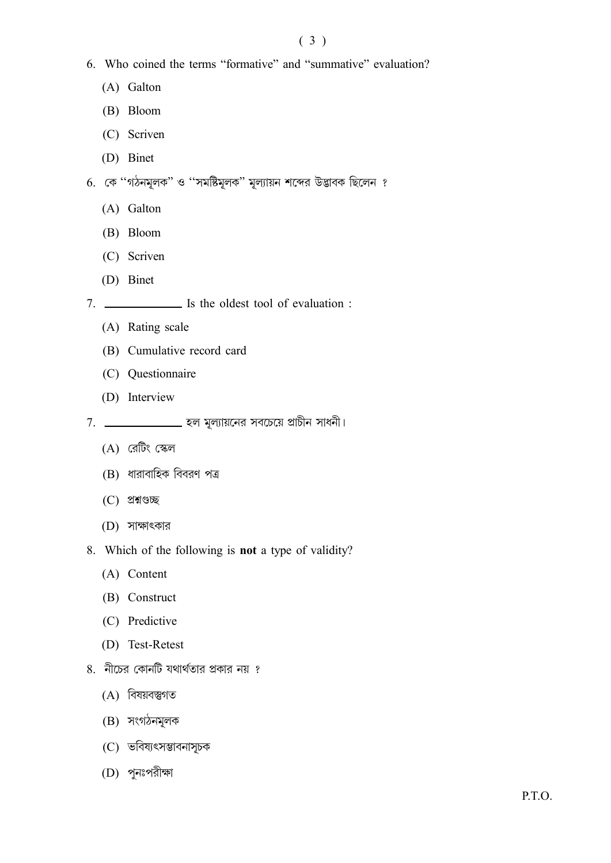- 6. Who coined the terms "formative" and "summative" evaluation?
	- (A) Galton
	- (B) Bloom
	- (C) Scriven
	- (D) Binet
- 6. কে ''গঠনমূলক'' ও ''সমষ্টিমূলক'' মূল্যায়ন শব্দের উদ্ভাবক ছিলেন ?
	- (A) Galton
	- (B) Bloom
	- (C) Scriven
	- (D) Binet
- - (A) Rating scale
	- (B) Cumulative record card
	- (C) Questionnaire
	- (D) Interview
- $7.$  \_\_\_\_\_\_\_\_\_\_\_\_\_\_\_\_\_\_\_ হল মূল্যায়নের সবচেয়ে প্রাচীন সাধনী।
	- $(A)$  রেটিং স্কেল
	- (B) ধারাবাহিক বিবরণ পত্র
	- $(C)$  প্রশ্নগুচ্ছ
	- $(D)$  সাক্ষাৎকার
- 8. Which of the following is **not** a type of validity?
	- (A) Content
	- (B) Construct
	- (C) Predictive
	- (D) Test-Retest
- $8.$  নীচের কোনটি যথার্থতার প্রকার নয় ?
	- $(A)$  বিষয়বস্তুগত
	- $(B)$  সংগঠনমূলক
	- (C) ভবিষ্যৎসম্ভাবনাসূচক
	- (D) পুনঃপরীক্ষা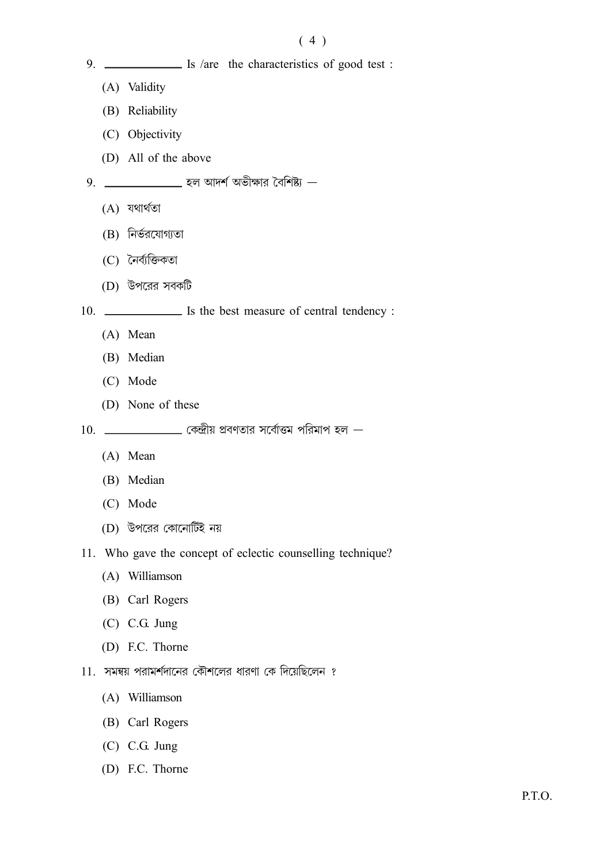### $(4)$

- 9. \_\_\_\_\_\_\_\_\_\_\_\_\_\_\_ Is /are the characteristics of good test :
	- (A) Validity
	- (B) Reliability
	- (C) Objectivity
	- (D) All of the above
- 9. \_\_\_\_\_\_\_\_\_\_\_\_\_\_ হল আদর্শ অভীক্ষার বৈশিষ্ট্য
	- $(A)$  যথাৰ্থতা
	- $(B)$  নির্ভরযোগ্যতা
	- (C) নৈৰ্ব্যক্তিকতা
	- (D) উপরের সবকটি

10. \_\_\_\_\_\_\_\_\_\_\_\_\_ Is the best measure of central tendency :

- (A) Mean
- (B) Median
- (C) Mode
- (D) None of these
- $10.$  \_\_\_\_\_\_\_\_\_\_\_\_\_ কেন্দ্রীয় প্রবণতার সর্বোত্তম পরিমাপ হল  $-$ 
	- $(A)$  Mean
	- (B) Median
	- (C) Mode
	- (D) উপরের কোনোর্টিই নয়
- 11. Who gave the concept of eclectic counselling technique?
	- (A) Williamson
	- (B) Carl Rogers
	- $(C)$  C.G. Jung
	- (D) F.C. Thorne
- 11. সমন্বয় পরামর্শদানের কৌশলের ধারণা কে দিয়েছিলেন ?
	- (A) Williamson
	- (B) Carl Rogers
	- $(C)$  C.G. Jung
	- (D) F.C. Thorne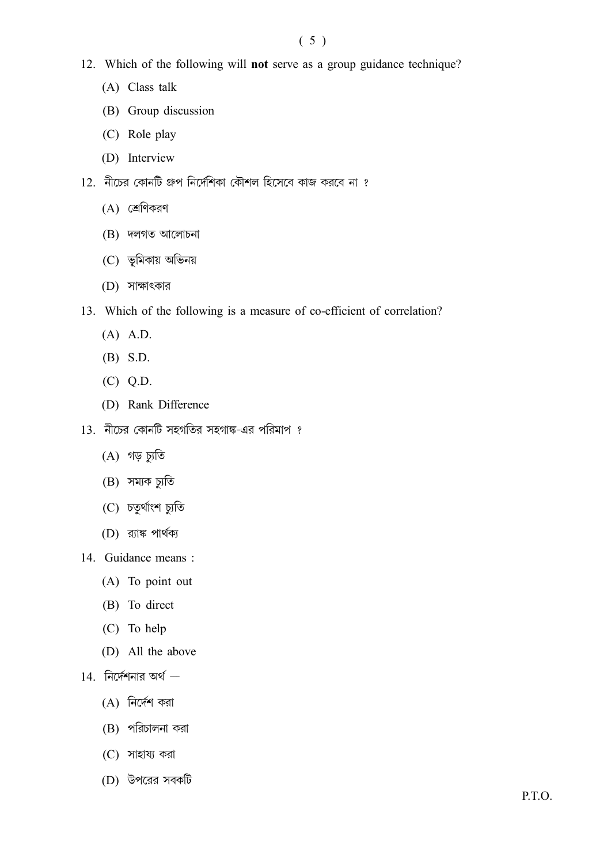- 12. Which of the following will not serve as a group guidance technique?
	- (A) Class talk
	- (B) Group discussion
	- (C) Role play
	- (D) Interview
- 12. নীচের কোনটি গ্রুপ নির্দেশিকা কৌশল হিসেবে কাজ করবে না ?
	- $(A)$  শ্রেণিকরণ
	- $(B)$  দলগত আলোচনা
	- (C) ভূমিকায় অভিনয়
	- (D) সাক্ষাৎকার
- 13. Which of the following is a measure of co-efficient of correlation?
	- $(A)$  A.D.
	- $(B)$  S.D.
	- $(C)$  Q.D.
	- (D) Rank Difference
- 13. নীচের কোনটি সহগতির সহগাঙ্ক-এর পরিমাপ ?
	- $(A)$  গড় চ্যুতি
	- $(B)$  সম্যক চ্যুতি
	- (C) চতুৰ্থাংশ চ্যুতি
	- $(D)$  র্য়াঙ্ক পার্থক্য
- 14. Guidance means :
	- (A) To point out
	- (B) To direct
	- (C) To help
	- (D) All the above
- $14.$  নির্দেশনার অর্থ  $-$ 
	- $(A)$  নির্দেশ করা
	- $(B)$  পরিচালনা করা
	- $(C)$  সাহায্য করা
	- (D) উপরের সবকটি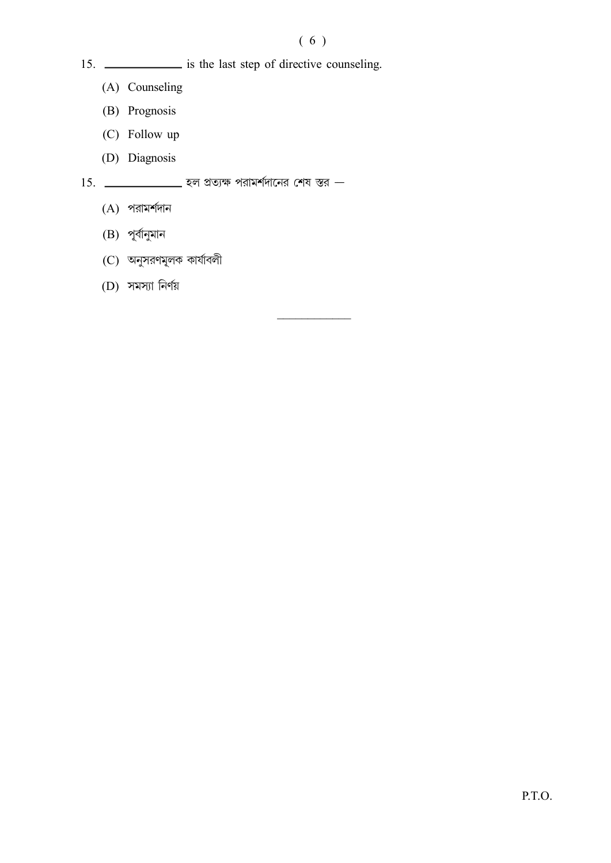### $(6)$

- 15. \_\_\_\_\_\_\_\_\_\_\_\_\_\_ is the last step of directive counseling.
	- (A) Counseling
	- (B) Prognosis
	- (C) Follow up
	- (D) Diagnosis

 $15.$  \_\_\_\_\_\_\_\_\_\_\_\_\_\_\_\_\_\_\_ হল প্রত্যক্ষ পরামর্শদানের শেষ স্তর —

- $(A)$  পরামর্শদান
- $(B)$  পূর্বানুমান
- (C) অনুসরণমূলক কার্যাবলী
- $(D)$  সমস্যা নির্ণয়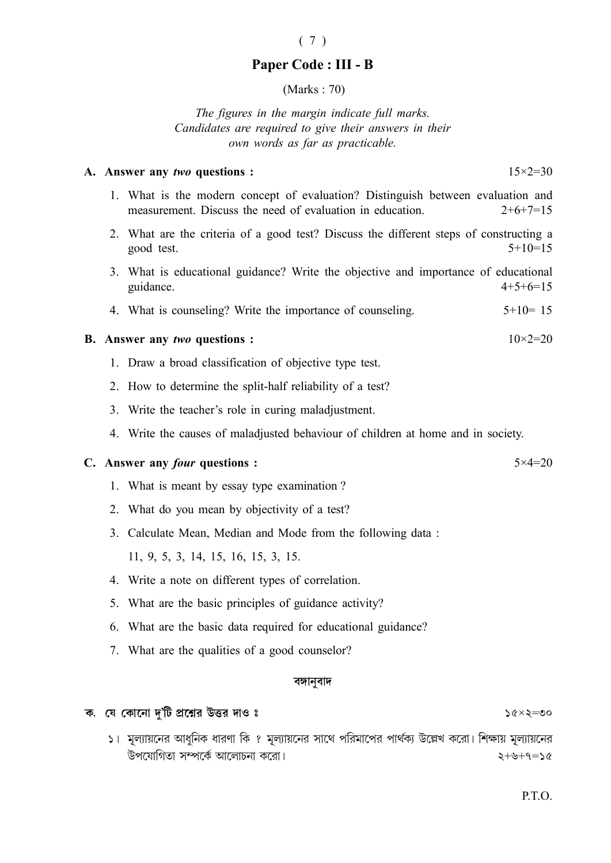### Paper Code: III - B

 $(Marks: 70)$ 

The figures in the margin indicate full marks. Candidates are required to give their answers in their own words as far as practicable.

#### A. Answer any two questions :

1. What is the modern concept of evaluation? Distinguish between evaluation and measurement. Discuss the need of evaluation in education.  $2+6+7=15$ 

- 2. What are the criteria of a good test? Discuss the different steps of constructing a  $5+10=15$ good test.
- 3. What is educational guidance? Write the objective and importance of educational guidance.  $4+5+6=15$
- 4. What is counseling? Write the importance of counseling.  $5+10=15$

#### **B.** Answer any two questions :

- 1. Draw a broad classification of objective type test.
- 2. How to determine the split-half reliability of a test?
- 3. Write the teacher's role in curing maladjustment.
- 4. Write the causes of maladjusted behaviour of children at home and in society.

#### C. Answer any *four* questions :

- 1. What is meant by essay type examination?
- 2. What do you mean by objectivity of a test?
- 3. Calculate Mean, Median and Mode from the following data:

11, 9, 5, 3, 14, 15, 16, 15, 3, 15.

- 4. Write a note on different types of correlation.
- 5. What are the basic principles of guidance activity?
- 6. What are the basic data required for educational guidance?
- 7. What are the qualities of a good counselor?

#### বঙ্গানবাদ

#### ক. যে কোনো দু'টি প্রশ্নের উত্তর দাও ঃ

১। মূল্যায়নের আধনিক ধারণা কি ? মূল্যায়নের সাথে পরিমাপের পার্থক্য উল্লেখ করো। শিক্ষায় মূল্যায়নের উপযোগিতা সম্পর্কে আলোচনা করো।  $25 - 9 + 9 = 2$ 

 $56 \times 5 = 00$ 

### $(7)$

 $5 \times 4 = 20$ 

 $10 \times 2 = 20$